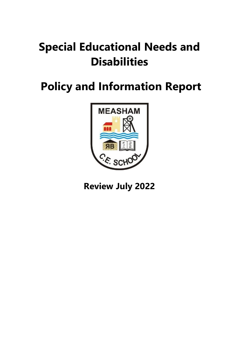# **Special Educational Needs and Disabilities**

# **Policy and Information Report**



**Review July 2022**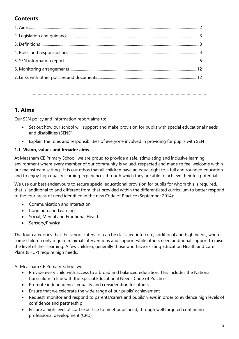# **Contents**

**…………………………………………………………………………………………………………………………….**

# **1. Aims**

Our SEN policy and information report aims to:

- Set out how our school will support and make provision for pupils with special educational needs and disabilities (SEND)
- Explain the roles and responsibilities of everyone involved in providing for pupils with SEN

## **1.1 Vision, values and broader aims**

At Measham CE Primary School, we are proud to provide a safe, stimulating and inclusive learning environment where every member of our community is valued, respected and made to feel welcome within our mainstream setting. It is our ethos that all children have an equal right to a full and rounded education and to enjoy high quality learning experiences through which they are able to achieve their full potential.

We use our best endeavours to secure special educational provision for pupils for whom this is required, that is 'additional to and different from' that provided within the differentiated curriculum to better respond to the four areas of need identified in the new Code of Practice (September 2014):

- Communication and Interaction
- Cognition and Learning
- Social, Mental and Emotional Health
- Sensory/Physical

The four categories that the school caters for can be classified into core, additional and high needs, where some children only require minimal interventions and support while others need additional support to raise the level of their learning. A few children, generally those who have existing Education Health and Care Plans (EHCP) require high needs.

At Measham CE Primary School we:

- Provide every child with access to a broad and balanced education. This includes the National Curriculum in line with the Special Educational Needs Code of Practice
- Promote independence, equality and consideration for others
- Ensure that we celebrate the wide range of our pupils' achievement
- Request, monitor and respond to parents/carers and pupils' views in order to evidence high levels of confidence and partnership
- Ensure a high level of staff expertise to meet pupil need, through well targeted continuing professional development (CPD)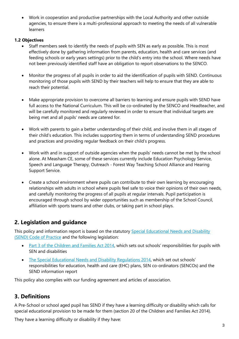Work in cooperation and productive partnerships with the Local Authority and other outside agencies, to ensure there is a multi-professional approach to meeting the needs of all vulnerable learners

### **1.2 Objectives**

- Staff members seek to identify the needs of pupils with SEN as early as possible. This is most effectively done by gathering information from parents, education, health and care services (and feeding schools or early years settings) prior to the child's entry into the school. Where needs have not been previously identified staff have an obligation to report observations to the SENCO.
- Monitor the progress of all pupils in order to aid the identification of pupils with SEND. Continuous monitoring of those pupils with SEND by their teachers will help to ensure that they are able to reach their potential.
- Make appropriate provision to overcome all barriers to learning and ensure pupils with SEND have full access to the National Curriculum. This will be co-ordinated by the SENCO and Headteacher, and will be carefully monitored and regularly reviewed in order to ensure that individual targets are being met and all pupils' needs are catered for.
- Work with parents to gain a better understanding of their child, and involve them in all stages of their child's education. This includes supporting them in terms of understanding SEND procedures and practices and providing regular feedback on their child's progress.
- Work with and in support of outside agencies when the pupils' needs cannot be met by the school alone. At Measham CE, some of these services currently include Education Psychology Service, Speech and Language Therapy, Outreach - Forest Way Teaching School Alliance and Hearing Support Service.
- Create a school environment where pupils can contribute to their own learning by encouraging relationships with adults in school where pupils feel safe to voice their opinions of their own needs, and carefully monitoring the progress of all pupils at regular intervals. Pupil participation is encouraged through school by wider opportunities such as membership of the School Council, affiliation with sports teams and other clubs, or taking part in school plays.

# **2. Legislation and guidance**

This policy and information report is based on the statutory Special Educational Needs and Disability [\(SEND\) Code of Practice](https://www.gov.uk/government/uploads/system/uploads/attachment_data/file/398815/SEND_Code_of_Practice_January_2015.pdf) and the following legislation:

- [Part 3 of the Children and Families Act 2014](http://www.legislation.gov.uk/ukpga/2014/6/part/3), which sets out schools' responsibilities for pupils with SEN and disabilities
- [The Special Educational Needs and Disability Regulations 2014,](http://www.legislation.gov.uk/uksi/2014/1530/contents/made) which set out schools' responsibilities for education, health and care (EHC) plans, SEN co-ordinators (SENCOs) and the SEND information report

This policy also complies with our funding agreement and articles of association.

# **3. Definitions**

A Pre-School or school aged pupil has SEND if they have a learning difficulty or disability which calls for special educational provision to be made for them (section 20 of the Children and Families Act 2014).

They have a learning difficulty or disability if they have: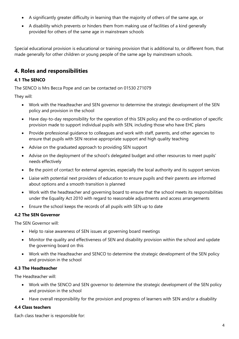- A significantly greater difficulty in learning than the majority of others of the same age, or
- A disability which prevents or hinders them from making use of facilities of a kind generally provided for others of the same age in mainstream schools

Special educational provision is educational or training provision that is additional to, or different from, that made generally for other children or young people of the same age by mainstream schools.

# **4. Roles and responsibilities**

# **4.1 The SENCO**

The SENCO is Mrs Becca Pope and can be contacted on 01530 271079

They will:

- Work with the Headteacher and SEN governor to determine the strategic development of the SEN policy and provision in the school
- Have day-to-day responsibility for the operation of this SEN policy and the co-ordination of specific provision made to support individual pupils with SEN, including those who have EHC plans
- Provide professional guidance to colleagues and work with staff, parents, and other agencies to ensure that pupils with SEN receive appropriate support and high quality teaching
- Advise on the graduated approach to providing SEN support
- Advise on the deployment of the school's delegated budget and other resources to meet pupils' needs effectively
- Be the point of contact for external agencies, especially the local authority and its support services
- Liaise with potential next providers of education to ensure pupils and their parents are informed about options and a smooth transition is planned
- Work with the headteacher and governing board to ensure that the school meets its responsibilities under the Equality Act 2010 with regard to reasonable adjustments and access arrangements
- Ensure the school keeps the records of all pupils with SEN up to date

# **4.2 The SEN Governor**

The SEN Governor will:

- Help to raise awareness of SEN issues at governing board meetings
- Monitor the quality and effectiveness of SEN and disability provision within the school and update the governing board on this
- Work with the Headteacher and SENCO to determine the strategic development of the SEN policy and provision in the school

#### **4.3 The Headteacher**

The Headteacher will:

- Work with the SENCO and SEN governor to determine the strategic development of the SEN policy and provision in the school
- Have overall responsibility for the provision and progress of learners with SEN and/or a disability

# **4.4 Class teachers**

Each class teacher is responsible for: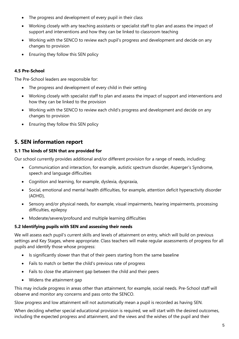- The progress and development of every pupil in their class
- Working closely with any teaching assistants or specialist staff to plan and assess the impact of support and interventions and how they can be linked to classroom teaching
- Working with the SENCO to review each pupil's progress and development and decide on any changes to provision
- Ensuring they follow this SEN policy

#### **4.5 Pre-School**

The Pre-School leaders are responsible for:

- The progress and development of every child in their setting
- Working closely with specialist staff to plan and assess the impact of support and interventions and how they can be linked to the provision
- Working with the SENCO to review each child's progress and development and decide on any changes to provision
- Ensuring they follow this SEN policy

# **5. SEN information report**

#### **5.1 The kinds of SEN that are provided for**

Our school currently provides additional and/or different provision for a range of needs, including:

- Communication and interaction, for example, autistic spectrum disorder, Asperger's Syndrome, speech and language difficulties
- Cognition and learning, for example, dyslexia, dyspraxia,
- Social, emotional and mental health difficulties, for example, attention deficit hyperactivity disorder (ADHD),
- Sensory and/or physical needs, for example, visual impairments, hearing impairments, processing difficulties, epilepsy
- Moderate/severe/profound and multiple learning difficulties

#### **5.2 Identifying pupils with SEN and assessing their needs**

We will assess each pupil's current skills and levels of attainment on entry, which will build on previous settings and Key Stages, where appropriate. Class teachers will make regular assessments of progress for all pupils and identify those whose progress:

- Is significantly slower than that of their peers starting from the same baseline
- Fails to match or better the child's previous rate of progress
- Fails to close the attainment gap between the child and their peers
- Widens the attainment gap

This may include progress in areas other than attainment, for example, social needs. Pre-School staff will observe and monitor any concerns and pass onto the SENCO.

Slow progress and low attainment will not automatically mean a pupil is recorded as having SEN.

When deciding whether special educational provision is required, we will start with the desired outcomes, including the expected progress and attainment, and the views and the wishes of the pupil and their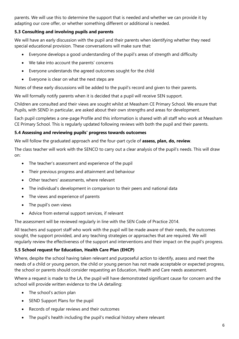parents. We will use this to determine the support that is needed and whether we can provide it by adapting our core offer, or whether something different or additional is needed.

## **5.3 Consulting and involving pupils and parents**

We will have an early discussion with the pupil and their parents when identifying whether they need special educational provision. These conversations will make sure that:

- Everyone develops a good understanding of the pupil's areas of strength and difficulty
- We take into account the parents' concerns
- Everyone understands the agreed outcomes sought for the child
- Everyone is clear on what the next steps are

Notes of these early discussions will be added to the pupil's record and given to their parents.

We will formally notify parents when it is decided that a pupil will receive SEN support.

Children are consulted and their views are sought whilst at Measham CE Primary School. We ensure that Pupils, with SEND in particular, are asked about their own strengths and areas for development.

Each pupil completes a one-page Profile and this information is shared with all staff who work at Measham CE Primary School. This is regularly updated following reviews with both the pupil and their parents.

#### **5.4 Assessing and reviewing pupils' progress towards outcomes**

We will follow the graduated approach and the four-part cycle of **assess, plan, do, review**.

The class teacher will work with the SENCO to carry out a clear analysis of the pupil's needs. This will draw on:

- The teacher's assessment and experience of the pupil
- Their previous progress and attainment and behaviour
- Other teachers' assessments, where relevant
- The individual's development in comparison to their peers and national data
- The views and experience of parents
- The pupil's own views
- Advice from external support services, if relevant

The assessment will be reviewed regularly in line with the SEN Code of Practice 2014.

All teachers and support staff who work with the pupil will be made aware of their needs, the outcomes sought, the support provided, and any teaching strategies or approaches that are required. We will regularly review the effectiveness of the support and interventions and their impact on the pupil's progress.

#### **5.5 School request for Education, Health Care Plan (EHCP)**

Where, despite the school having taken relevant and purposeful action to identify, assess and meet the needs of a child or young person, the child or young person has not made acceptable or expected progress, the school or parents should consider requesting an Education, Health and Care needs assessment.

Where a request is made to the LA, the pupil will have demonstrated significant cause for concern and the school will provide written evidence to the LA detailing:

- The school's action plan
- SEND Support Plans for the pupil
- Records of regular reviews and their outcomes
- The pupil's health including the pupil's medical history where relevant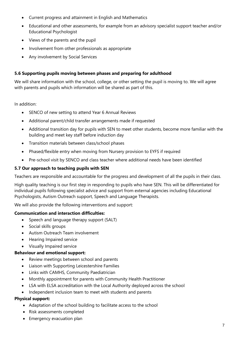- Current progress and attainment in English and Mathematics
- Educational and other assessments, for example from an advisory specialist support teacher and/or Educational Psychologist
- Views of the parents and the pupil
- Involvement from other professionals as appropriate
- Any involvement by Social Services

#### **5.6 Supporting pupils moving between phases and preparing for adulthood**

We will share information with the school, college, or other setting the pupil is moving to. We will agree with parents and pupils which information will be shared as part of this.

In addition:

- SENCO of new setting to attend Year 6 Annual Reviews
- Additional parent/child transfer arrangements made if requested
- Additional transition day for pupils with SEN to meet other students, become more familiar with the building and meet key staff before induction day
- Transition materials between class/school phases
- Phased/flexible entry when moving from Nursery provision to EYFS if required
- Pre-school visit by SENCO and class teacher where additional needs have been identified

#### **5.7 Our approach to teaching pupils with SEN**

Teachers are responsible and accountable for the progress and development of all the pupils in their class.

High quality teaching is our first step in responding to pupils who have SEN. This will be differentiated for individual pupils following specialist advice and support from external agencies including Educational Psychologists, Autism Outreach support, Speech and Language Therapists.

We will also provide the following interventions and support:

#### **Communication and interaction difficulties:**

- Speech and language therapy support (SALT)
- Social skills groups
- Autism Outreach Team involvement
- Hearing Impaired service
- Visually Impaired service

#### **Behaviour and emotional support:**

- Review meetings between school and parents
- Liaison with Supporting Leicestershire Families
- Links with CAMHS, Community Paediatrician
- Monthly appointment for parents with Community Health Practitioner
- LSA with ELSA accreditation with the Local Authority deployed across the school
- Independent inclusion team to meet with students and parents

#### **Physical support:**

- Adaptation of the school building to facilitate access to the school
- Risk assessments completed
- Emergency evacuation plan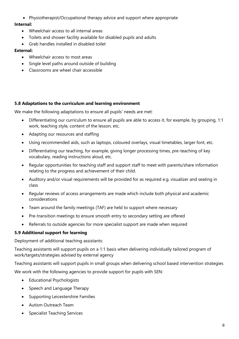Physiotherapist/Occupational therapy advice and support where appropriate

#### **Internal:**

- Wheelchair access to all internal areas
- Toilets and shower facility available for disabled pupils and adults
- Grab handles installed in disabled toilet

#### **External:**

- Wheelchair access to most areas
- Single level paths around outside of building
- Classrooms are wheel chair accessible

#### **5.8 Adaptations to the curriculum and learning environment**

We make the following adaptations to ensure all pupils' needs are met:

- Differentiating our curriculum to ensure all pupils are able to access it, for example, by grouping, 1:1 work, teaching style, content of the lesson, etc.
- Adapting our resources and staffing
- Using recommended aids, such as laptops, coloured overlays, visual timetables, larger font, etc.
- Differentiating our teaching, for example, giving longer processing times, pre-teaching of key vocabulary, reading instructions aloud, etc.
- Regular opportunities for teaching staff and support staff to meet with parents/share information relating to the progress and achievement of their child.
- Auditory and/or visual requirements will be provided for as required e.g. visualizer and seating in class
- Regular reviews of access arrangements are made which include both physical and academic considerations
- Team around the family meetings (TAF) are held to support where necessary
- Pre-transition meetings to ensure smooth entry to secondary setting are offered
- Referrals to outside agencies for more specialist support are made when required

#### **5.9 Additional support for learning**

Deployment of additional teaching assistants:

Teaching assistants will support pupils on a 1:1 basis when delivering individually tailored program of work/targets/strategies advised by external agency

Teaching assistants will support pupils in small groups when delivering school based intervention strategies We work with the following agencies to provide support for pupils with SEN:

- Educational Psychologists
- Speech and Language Therapy
- Supporting Leicestershire Families
- Autism Outreach Team
- Specialist Teaching Services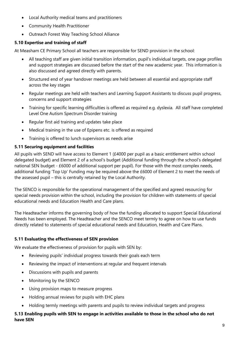- Local Authority medical teams and practitioners
- Community Health Practitioner
- Outreach Forest Way Teaching School Alliance

# **5.10 Expertise and training of staff**

At Measham CE Primary School all teachers are responsible for SEND provision in the school:

- All teaching staff are given initial transition information, pupil's individual targets, one page profiles and support strategies are discussed before the start of the new academic year. This information is also discussed and agreed directly with parents.
- Structured end of year handover meetings are held between all essential and appropriate staff across the key stages
- Regular meetings are held with teachers and Learning Support Assistants to discuss pupil progress, concerns and support strategies
- Training for specific learning difficulties is offered as required e.g. dyslexia. All staff have completed Level One Autism Spectrum Disorder training
- Regular first aid training and updates take place
- Medical training in the use of Epipens etc. is offered as required
- Training is offered to lunch supervisors as needs arise

# **5.11 Securing equipment and facilities**

All pupils with SEND will have access to Element 1 (£4000 per pupil as a basic entitlement within school delegated budget) and Element 2 of a school's budget (Additional funding through the school's delegated national SEN budget - £6000 of additional support per pupil). For those with the most complex needs, additional funding 'Top Up' Funding may be required above the £6000 of Element 2 to meet the needs of the assessed pupil – this is centrally retained by the Local Authority.

The SENCO is responsible for the operational management of the specified and agreed resourcing for special needs provision within the school, including the provision for children with statements of special educational needs and Education Health and Care plans.

The Headteacher informs the governing body of how the funding allocated to support Special Educational Needs has been employed. The Headteacher and the SENCO meet termly to agree on how to use funds directly related to statements of special educational needs and Education, Health and Care Plans.

# **5.11 Evaluating the effectiveness of SEN provision**

We evaluate the effectiveness of provision for pupils with SEN by:

- Reviewing pupils' individual progress towards their goals each term
- Reviewing the impact of interventions at regular and frequent intervals
- Discussions with pupils and parents
- Monitoring by the SENCO
- Using provision maps to measure progress
- Holding annual reviews for pupils with EHC plans
- Holding termly meetings with parents and pupils to review individual targets and progress

#### **5.13 Enabling pupils with SEN to engage in activities available to those in the school who do not have SEN**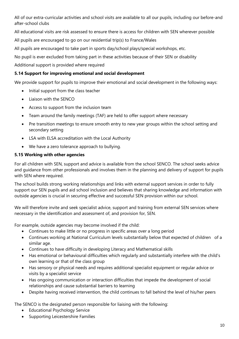All of our extra-curricular activities and school visits are available to all our pupils, including our before-and after-school clubs

All educational visits are risk assessed to ensure there is access for children with SEN wherever possible

All pupils are encouraged to go on our residential trip(s) to France/Wales

All pupils are encouraged to take part in sports day/school plays/special workshops, etc.

No pupil is ever excluded from taking part in these activities because of their SEN or disability

Additional support is provided where required

## **5.14 Support for improving emotional and social development**

We provide support for pupils to improve their emotional and social development in the following ways:

- Initial support from the class teacher
- Liaison with the SENCO
- Access to support from the inclusion team
- Team around the family meetings (TAF) are held to offer support where necessary
- Pre transition meetings to ensure smooth entry to new year groups within the school setting and secondary setting
- LSA with ELSA accreditation with the Local Authority
- We have a zero tolerance approach to bullying.

# **5.15 Working with other agencies**

For all children with SEN, support and advice is available from the school SENCO. The school seeks advice and guidance from other professionals and involves them in the planning and delivery of support for pupils with SEN where required.

The school builds strong working relationships and links with external support services in order to fully support our SEN pupils and aid school inclusion and believes that sharing knowledge and information with outside agencies is crucial in securing effective and successful SEN provision within our school.

We will therefore invite and seek specialist advice, support and training from external SEN services where necessary in the identification and assessment of, and provision for, SEN.

For example, outside agencies may become involved if the child:

- Continues to make little or no progress in specific areas over a long period
- Continues working at National Curriculum levels substantially below that expected of children of a similar age.
- Continues to have difficulty in developing Literacy and Mathematical skills
- Has emotional or behavioural difficulties which regularly and substantially interfere with the child's own learning or that of the class group
- Has sensory or physical needs and requires additional specialist equipment or regular advice or visits by a specialist service
- Has ongoing communication or interaction difficulties that impede the development of social relationships and cause substantial barriers to learning
- Despite having received intervention, the child continues to fall behind the level of his/her peers

The SENCO is the designated person responsible for liaising with the following:

- Educational Psychology Service
- Supporting Leicestershire Families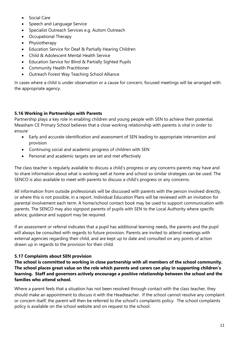- Social Care
- Speech and Language Service
- Specialist Outreach Services e.g. Autism Outreach
- Occupational Therapy
- Physiotherapy
- Education Service for Deaf & Partially Hearing Children
- Child & Adolescent Mental Health Service
- Education Service for Blind & Partially Sighted Pupils
- Community Health Practitioner
- Outreach Forest Way Teaching School Alliance

In cases where a child is under observation or a cause for concern, focused meetings will be arranged with the appropriate agency.

#### **5.16 Working in Partnerships with Parents**

Partnership plays a key role in enabling children and young people with SEN to achieve their potential. Measham CE Primary School believes that a close working relationship with parents is vital in order to ensure:

- Early and accurate identification and assessment of SEN leading to appropriate intervention and provision
- Continuing social and academic progress of children with SEN
- Personal and academic targets are set and met effectively

The class teacher is regularly available to discuss a child's progress or any concerns parents may have and to share information about what is working well at home and school so similar strategies can be used. The SENCO is also available to meet with parents to discuss a child's progress or any concerns.

All information from outside professionals will be discussed with parents with the person involved directly, or where this is not possible, in a report. Individual Education Plans will be reviewed with an invitation for parental involvement each term. A home/school contact book may be used to support communication with parents. The SENCO may also signpost parents of pupils with SEN to the Local Authority where specific advice, guidance and support may be required.

If an assessment or referral indicates that a pupil has additional learning needs, the parents and the pupil will always be consulted with regards to future provision. Parents are invited to attend meetings with external agencies regarding their child, and are kept up to date and consulted on any points of action drawn up in regards to the provision for their child.

#### **5.17 Complaints about SEN provision**

**The school is committed to working in close partnership with all members of the school community. The school places great value on the role which parents and carers can play in supporting children's learning. Staff and governors actively encourage a positive relationship between the school and the families who attend school.** 

Where a parent feels that a situation has not been resolved through contact with the class teacher, they should make an appointment to discuss it with the Headteacher. If the school cannot resolve any complaint or concern itself, the parent will then be referred to the school's complaints policy. The school complaints policy is available on the school website and on request to the school.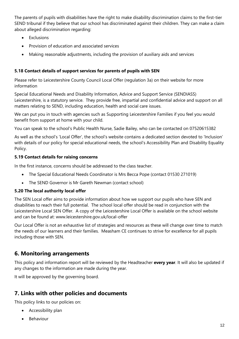The parents of pupils with disabilities have the right to make disability discrimination claims to the first-tier SEND tribunal if they believe that our school has discriminated against their children. They can make a claim about alleged discrimination regarding:

- Exclusions
- Provision of education and associated services
- Making reasonable adjustments, including the provision of auxiliary aids and services

### **5.18 Contact details of support services for parents of pupils with SEN**

Please refer to Leicestershire County Council Local Offer (regulation 3a) on their website for more information

Special Educational Needs and Disability Information, Advice and Support Service (SENDIASS) Leicestershire, is a statutory service. They provide free, impartial and confidential advice and support on all matters relating to SEND, including education, health and social care issues.

We can put you in touch with agencies such as Supporting Leicestershire Families if you feel you would benefit from support at home with your child.

You can speak to the school's Public Health Nurse, Sadie Bailey, who can be contacted on 07520615382

As well as the school's 'Local Offer', the school's website contains a dedicated section devoted to 'Inclusion' with details of our policy for special educational needs, the school's Accessibility Plan and Disability Equality Policy.

#### **5.19 Contact details for raising concerns**

In the first instance, concerns should be addressed to the class teacher.

- The Special Educational Needs Coordinator is Mrs Becca Pope (contact 01530 271019)
- The SEND Governor is Mr Gareth Newman (contact school)

#### **5.20 The local authority local offer**

The SEN Local offer aims to provide information about how we support our pupils who have SEN and disabilities to reach their full potential. The school local offer should be read in conjunction with the Leicestershire Local SEN Offer. A copy of the Leicestershire Local Offer is available on the school website and can be found at: www.leicestershire.gov.uk/local-offer

Our Local Offer is not an exhaustive list of strategies and resources as these will change over time to match the needs of our learners and their families. Measham CE continues to strive for excellence for all pupils including those with SEN.

# **6. Monitoring arrangements**

This policy and information report will be reviewed by the Headteacher **every year**. It will also be updated if any changes to the information are made during the year.

It will be approved by the governing board.

# **7. Links with other policies and documents**

This policy links to our policies on:

- Accessibility plan
- Behaviour